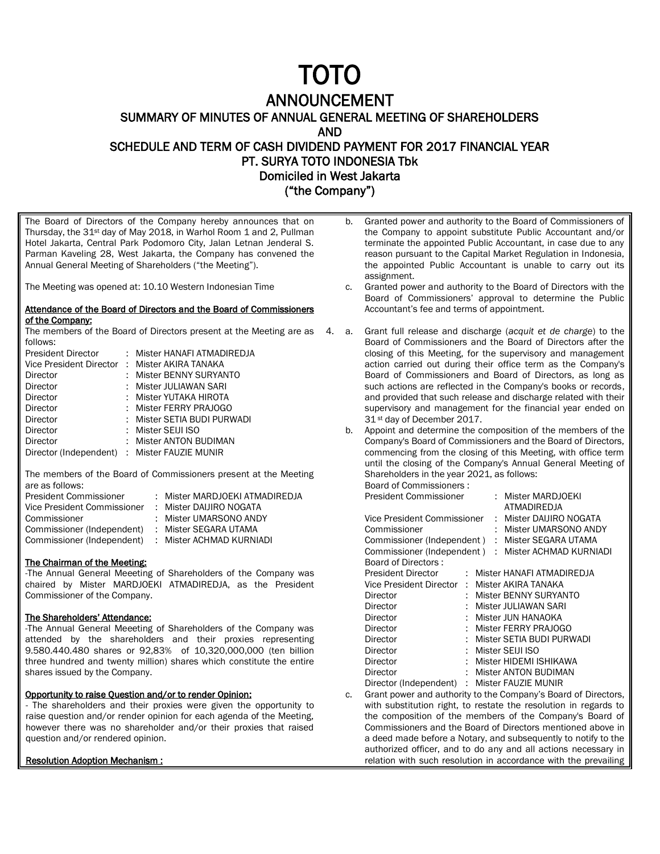# TOTO

# ANNOUNCEMENT

SUMMARY OF MINUTES OF ANNUAL GENERAL MEETING OF SHAREHOLDERS

AND

SCHEDULE AND TERM OF CASH DIVIDEND PAYMENT FOR 2017 FINANCIAL YEAR PT. SURYA TOTO INDONESIA Tbk Domiciled in West Jakarta

("the Company")

The Board of Directors of the Company hereby announces that on Thursday, the 31st day of May 2018, in Warhol Room 1 and 2, Pullman Hotel Jakarta, Central Park Podomoro City, Jalan Letnan Jenderal S. Parman Kaveling 28, West Jakarta, the Company has convened the Annual General Meeting of Shareholders ("the Meeting").

The Meeting was opened at: 10.10 Western Indonesian Time

## Attendance of the Board of Directors and the Board of Commissioners of the Company:

The members of the Board of Directors present at the Meeting are as follows:

| <b>President Director</b>                     | : Mister HANAFI ATMADIREDJA |
|-----------------------------------------------|-----------------------------|
| Vice President Director : Mister AKIRA TANAKA |                             |
| Director                                      | : Mister BENNY SURYANTO     |
| Director                                      | : Mister JULIAWAN SARI      |
| Director                                      | : Mister YUTAKA HIROTA      |
| Director                                      | : Mister FERRY PRAJOGO      |
| Director                                      | : Mister SETIA BUDI PURWADI |
| Director                                      | : Mister SEIJI ISO          |
| Director                                      | : Mister ANTON BUDIMAN      |
| Director (Independent) : Mister FAUZIE MUNIR  |                             |
|                                               |                             |

The members of the Board of Commissioners present at the Meeting are as follows:

| President Commissioner      | : Mister MARDJOEKI ATMADIREDJA |
|-----------------------------|--------------------------------|
| Vice President Commissioner | : Mister DAIJIRO NOGATA        |
| Commissioner                | : Mister UMARSONO ANDY         |
| Commissioner (Independent)  | : Mister SEGARA UTAMA          |
| Commissioner (Independent)  | : Mister ACHMAD KURNIADI       |

# The Chairman of the Meeting:

-The Annual General Meeeting of Shareholders of the Company was chaired by Mister MARDJOEKI ATMADIREDJA, as the President Commissioner of the Company.

#### The Shareholders' Attendance:

-The Annual General Meeeting of Shareholders of the Company was attended by the shareholders and their proxies representing 9.580.440.480 shares or 92,83% of 10,320,000,000 (ten billion three hundred and twenty million) shares which constitute the entire shares issued by the Company.

# Opportunity to raise Question and/or to render Opinion:

- The shareholders and their proxies were given the opportunity to raise question and/or render opinion for each agenda of the Meeting, however there was no shareholder and/or their proxies that raised question and/or rendered opinion.

### Resolution Adoption Mechanism :

- b. Granted power and authority to the Board of Commissioners of the Company to appoint substitute Public Accountant and/or terminate the appointed Public Accountant, in case due to any reason pursuant to the Capital Market Regulation in Indonesia, the appointed Public Accountant is unable to carry out its assignment.
- c. Granted power and authority to the Board of Directors with the Board of Commissioners' approval to determine the Public Accountant's fee and terms of appointment.
- 4. a. Grant full release and discharge (*acquit et de charge*) to the Board of Commissioners and the Board of Directors after the closing of this Meeting, for the supervisory and management action carried out during their office term as the Company's Board of Commissioners and Board of Directors, as long as such actions are reflected in the Company's books or records, and provided that such release and discharge related with their supervisory and management for the financial year ended on 31 st day of December 2017.
	- b. Appoint and determine the composition of the members of the Company's Board of Commissioners and the Board of Directors, commencing from the closing of this Meeting, with office term until the closing of the Company's Annual General Meeting of Shareholders in the year 2021, as follows:

| Board of Commissioners:       |                  |
|-------------------------------|------------------|
| <b>President Commissioner</b> | Mister MARDJOEKI |

|    |                             |    |  | ATMADIREDJA                                                    |
|----|-----------------------------|----|--|----------------------------------------------------------------|
|    | Vice President Commissioner |    |  | : Mister DAIJIRO NOGATA                                        |
|    | Commissioner                |    |  | Mister UMARSONO ANDY                                           |
|    | Commissioner (Independent)  |    |  | Mister SEGARA UTAMA                                            |
|    | Commissioner (Independent)  |    |  | : Mister ACHMAD KURNIADI                                       |
|    | Board of Directors:         |    |  |                                                                |
|    | <b>President Director</b>   |    |  | : Mister HANAFI ATMADIREDJA                                    |
|    | Vice President Director     | ÷. |  | Mister AKIRA TANAKA                                            |
|    | Director                    |    |  | Mister BENNY SURYANTO                                          |
|    | Director                    |    |  | Mister JULIAWAN SARI                                           |
|    | Director                    |    |  | Mister JUN HANAOKA                                             |
|    | Director                    |    |  | Mister FERRY PRAJOGO                                           |
|    | Director                    |    |  | Mister SETIA BUDI PURWADI                                      |
|    | Director                    |    |  | Mister SEIJI ISO                                               |
|    | Director                    |    |  | Mister HIDEMI ISHIKAWA                                         |
|    | Director                    |    |  | <b>Mister ANTON BUDIMAN</b>                                    |
|    | Director (Independent)      |    |  | : Mister FAUZIE MUNIR                                          |
| c. |                             |    |  | Grant power and authority to the Company's Board of Directors, |

with substitution right, to restate the resolution in regards to the composition of the members of the Company's Board of Commissioners and the Board of Directors mentioned above in a deed made before a Notary, and subsequently to notify to the authorized officer, and to do any and all actions necessary in relation with such resolution in accordance with the prevailing